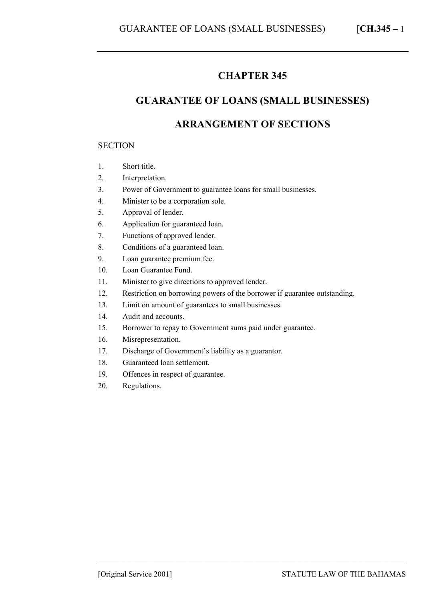## **CHAPTER 345**

# **GUARANTEE OF LOANS (SMALL BUSINESSES)**

## **ARRANGEMENT OF SECTIONS**

#### **SECTION**

- 1. Short title.
- 2. Interpretation.
- 3. Power of Government to guarantee loans for small businesses.
- 4. Minister to be a corporation sole.
- 5. Approval of lender.
- 6. Application for guaranteed loan.
- 7. Functions of approved lender.
- 8. Conditions of a guaranteed loan.
- 9. Loan guarantee premium fee.
- 10. Loan Guarantee Fund.
- 11. Minister to give directions to approved lender.
- 12. Restriction on borrowing powers of the borrower if guarantee outstanding.

–––––––––––––––––––––––––––––––––––––––––––––––––––––––––––––––––––––––––––––––

- 13. Limit on amount of guarantees to small businesses.
- 14. Audit and accounts.
- 15. Borrower to repay to Government sums paid under guarantee.
- 16. Misrepresentation.
- 17. Discharge of Government's liability as a guarantor.
- 18. Guaranteed loan settlement.
- 19. Offences in respect of guarantee.
- 20. Regulations.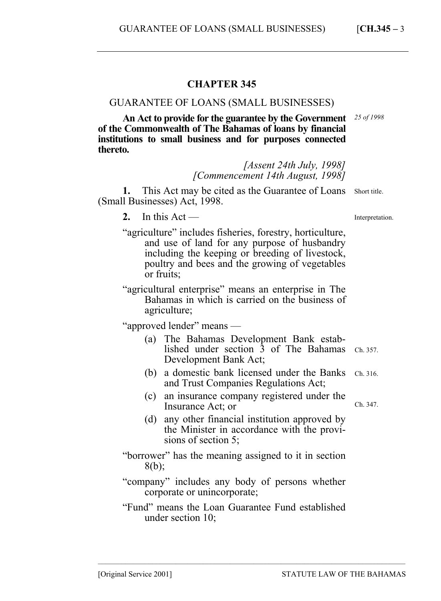### **CHAPTER 345**

### GUARANTEE OF LOANS (SMALL BUSINESSES)

**An Act to provide for the guarantee by the Government of the Commonwealth of The Bahamas of loans by financial institutions to small business and for purposes connected thereto.**  *25 of 1998* 

> *[Assent 24th July, 1998] [Commencement 14th August, 1998]*

1. This Act may be cited as the Guarantee of Loans Short title. (Small Businesses) Act, 1998.

- 2. In this  $Act$  —
- "agriculture" includes fisheries, forestry, horticulture, and use of land for any purpose of husbandry including the keeping or breeding of livestock, poultry and bees and the growing of vegetables or fruits;
- "agricultural enterprise" means an enterprise in The Bahamas in which is carried on the business of agriculture;

"approved lender" means —

- (a) The Bahamas Development Bank established under section  $\bar{3}$  of The Bahamas Ch. 357. Development Bank Act;
- (b) a domestic bank licensed under the Banks Ch. 316. and Trust Companies Regulations Act;
- (c) an insurance company registered under the Insurance Act; or
- (d) any other financial institution approved by the Minister in accordance with the provisions of section 5;
- "borrower" has the meaning assigned to it in section 8(b);
- "company" includes any body of persons whether corporate or unincorporate;
- "Fund" means the Loan Guarantee Fund established under section 10;

–––––––––––––––––––––––––––––––––––––––––––––––––––––––––––––––––––––––––––––––

[Original Service 2001] STATUTE LAW OF THE BAHAMAS

Ch. 347.

Interpretation.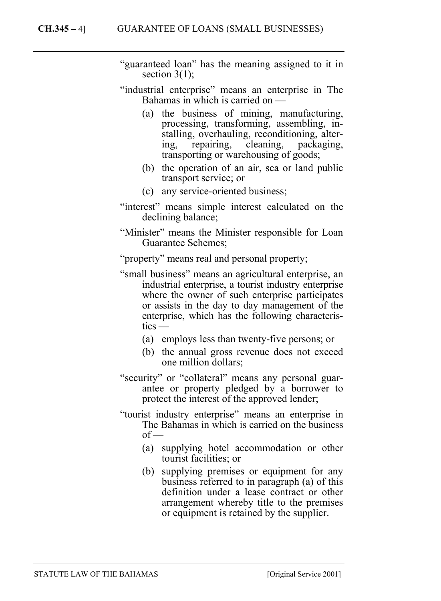- "guaranteed loan" has the meaning assigned to it in section  $3(1)$ ;
- "industrial enterprise" means an enterprise in The Bahamas in which is carried on —
	- (a) the business of mining, manufacturing, processing, transforming, assembling, installing, overhauling, reconditioning, altering, repairing, cleaning, packaging, transporting or warehousing of goods;
	- (b) the operation of an air, sea or land public transport service; or
	- (c) any service-oriented business;
- "interest" means simple interest calculated on the declining balance;
- "Minister" means the Minister responsible for Loan Guarantee Schemes;

"property" means real and personal property;

- "small business" means an agricultural enterprise, an industrial enterprise, a tourist industry enterprise where the owner of such enterprise participates or assists in the day to day management of the enterprise, which has the following characteristics —
	- (a) employs less than twenty-five persons; or
	- (b) the annual gross revenue does not exceed one million dollars;
- "security" or "collateral" means any personal guarantee or property pledged by a borrower to protect the interest of the approved lender;
- "tourist industry enterprise" means an enterprise in The Bahamas in which is carried on the business  $of$  —
	- (a) supplying hotel accommodation or other tourist facilities; or
	- (b) supplying premises or equipment for any business referred to in paragraph (a) of this definition under a lease contract or other arrangement whereby title to the premises or equipment is retained by the supplier.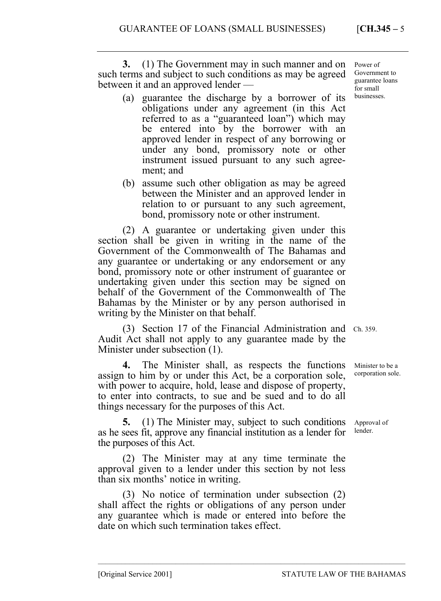**3.** (1) The Government may in such manner and on Power of such terms and subject to such conditions as may be agreed between it and an approved lender —

- (a) guarantee the discharge by a borrower of its obligations under any agreement (in this Act referred to as a "guaranteed loan") which may be entered into by the borrower with an approved lender in respect of any borrowing or under any bond, promissory note or other instrument issued pursuant to any such agreement; and
- (b) assume such other obligation as may be agreed between the Minister and an approved lender in relation to or pursuant to any such agreement, bond, promissory note or other instrument.

(2) A guarantee or undertaking given under this section shall be given in writing in the name of the Government of the Commonwealth of The Bahamas and any guarantee or undertaking or any endorsement or any bond, promissory note or other instrument of guarantee or undertaking given under this section may be signed on behalf of the Government of the Commonwealth of The Bahamas by the Minister or by any person authorised in writing by the Minister on that behalf.

(3) Section 17 of the Financial Administration and Ch. 359. Audit Act shall not apply to any guarantee made by the Minister under subsection (1).

**4.** The Minister shall, as respects the functions assign to him by or under this Act, be a corporation sole, with power to acquire, hold, lease and dispose of property, to enter into contracts, to sue and be sued and to do all things necessary for the purposes of this Act.

**5.** (1) The Minister may, subject to such conditions as he sees fit, approve any financial institution as a lender for the purposes of this Act.

(2) The Minister may at any time terminate the approval given to a lender under this section by not less than six months' notice in writing.

(3) No notice of termination under subsection (2) shall affect the rights or obligations of any person under any guarantee which is made or entered into before the date on which such termination takes effect.

–––––––––––––––––––––––––––––––––––––––––––––––––––––––––––––––––––––––––––––––

Government to guarantee loans for small businesses.

Minister to be a corporation sole.

Approval of lender.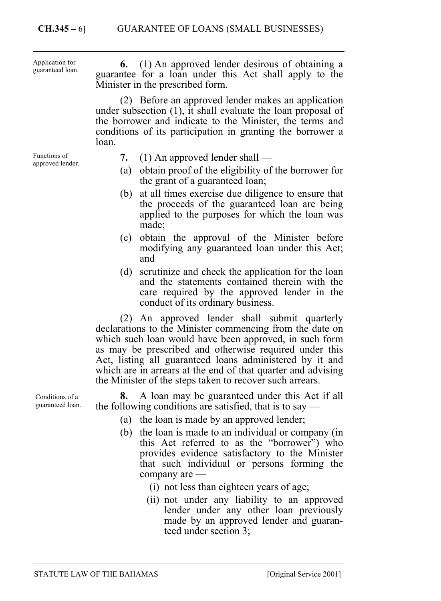**6.** (1) An approved lender desirous of obtaining a guarantee for a loan under this Act shall apply to the Minister in the prescribed form. (2) Before an approved lender makes an application under subsection (1), it shall evaluate the loan proposal of the borrower and indicate to the Minister, the terms and conditions of its participation in granting the borrower a loan. **7.** (1) An approved lender shall — (a) obtain proof of the eligibility of the borrower for the grant of a guaranteed loan; (b) at all times exercise due diligence to ensure that the proceeds of the guaranteed loan are being applied to the purposes for which the loan was made; (c) obtain the approval of the Minister before modifying any guaranteed loan under this Act; and (d) scrutinize and check the application for the loan and the statements contained therein with the care required by the approved lender in the conduct of its ordinary business. (2) An approved lender shall submit quarterly declarations to the Minister commencing from the date on which such loan would have been approved, in such form as may be prescribed and otherwise required under this Act, listing all guaranteed loans administered by it and Application for guaranteed loan. Functions of approved lender.

> the Minister of the steps taken to recover such arrears. **8.** A loan may be guaranteed under this Act if all the following conditions are satisfied, that is to say —

which are in arrears at the end of that quarter and advising

- (a) the loan is made by an approved lender;
- (b) the loan is made to an individual or company (in this Act referred to as the "borrower") who provides evidence satisfactory to the Minister that such individual or persons forming the company are —
	- (i) not less than eighteen years of age;
	- (ii) not under any liability to an approved lender under any other loan previously made by an approved lender and guaranteed under section 3;

Conditions of a guaranteed loan.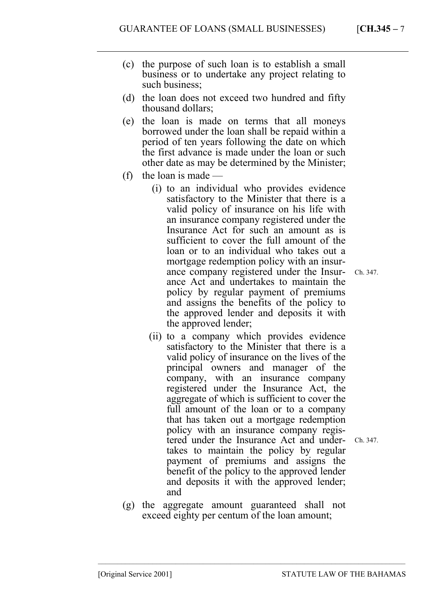- (c) the purpose of such loan is to establish a small business or to undertake any project relating to such business;
- (d) the loan does not exceed two hundred and fifty thousand dollars;
- (e) the loan is made on terms that all moneys borrowed under the loan shall be repaid within a period of ten years following the date on which the first advance is made under the loan or such other date as may be determined by the Minister;
- (f) the loan is made
	- (i) to an individual who provides evidence satisfactory to the Minister that there is a valid policy of insurance on his life with an insurance company registered under the Insurance Act for such an amount as is sufficient to cover the full amount of the loan or to an individual who takes out a mortgage redemption policy with an insurance company registered under the Insurance Act and undertakes to maintain the policy by regular payment of premiums and assigns the benefits of the policy to the approved lender and deposits it with the approved lender;
		- Ch. 347.
	- (ii) to a company which provides evidence satisfactory to the Minister that there is a valid policy of insurance on the lives of the principal owners and manager of the company, with an insurance company registered under the Insurance Act, the aggregate of which is sufficient to cover the full amount of the loan or to a company that has taken out a mortgage redemption policy with an insurance company registered under the Insurance Act and undertakes to maintain the policy by regular payment of premiums and assigns the benefit of the policy to the approved lender and deposits it with the approved lender; and
		- Ch. 347.
- (g) the aggregate amount guaranteed shall not exceed eighty per centum of the loan amount;

–––––––––––––––––––––––––––––––––––––––––––––––––––––––––––––––––––––––––––––––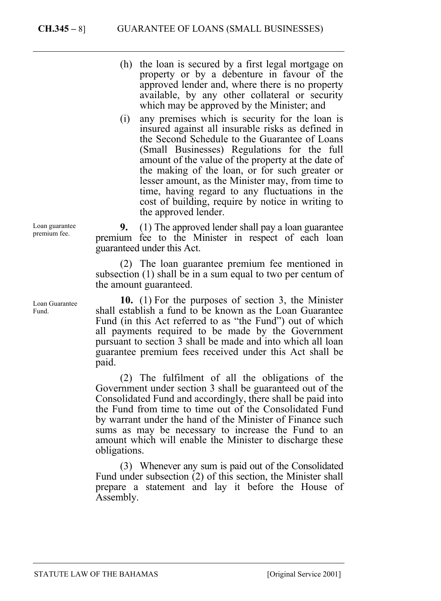### **CH.345 –** 8] GUARANTEE OF LOANS (SMALL BUSINESSES)

Loan guarantee premium fee.

Loan Guarantee Fund.

(h) the loan is secured by a first legal mortgage on property or by a debenture in favour of the approved lender and, where there is no property available, by any other collateral or security which may be approved by the Minister; and

(i) any premises which is security for the loan is insured against all insurable risks as defined in the Second Schedule to the Guarantee of Loans (Small Businesses) Regulations for the full amount of the value of the property at the date of the making of the loan, or for such greater or lesser amount, as the Minister may, from time to time, having regard to any fluctuations in the cost of building, require by notice in writing to the approved lender.

**9.** (1) The approved lender shall pay a loan guarantee premium fee to the Minister in respect of each loan guaranteed under this Act.

(2) The loan guarantee premium fee mentioned in subsection (1) shall be in a sum equal to two per centum of the amount guaranteed.

**10.** (1) For the purposes of section 3, the Minister shall establish a fund to be known as the Loan Guarantee Fund (in this Act referred to as "the Fund") out of which all payments required to be made by the Government pursuant to section 3 shall be made and into which all loan guarantee premium fees received under this Act shall be paid.

(2) The fulfilment of all the obligations of the Government under section 3 shall be guaranteed out of the Consolidated Fund and accordingly, there shall be paid into the Fund from time to time out of the Consolidated Fund by warrant under the hand of the Minister of Finance such sums as may be necessary to increase the Fund to an amount which will enable the Minister to discharge these obligations.

(3) Whenever any sum is paid out of the Consolidated Fund under subsection (2) of this section, the Minister shall prepare a statement and lay it before the House of Assembly.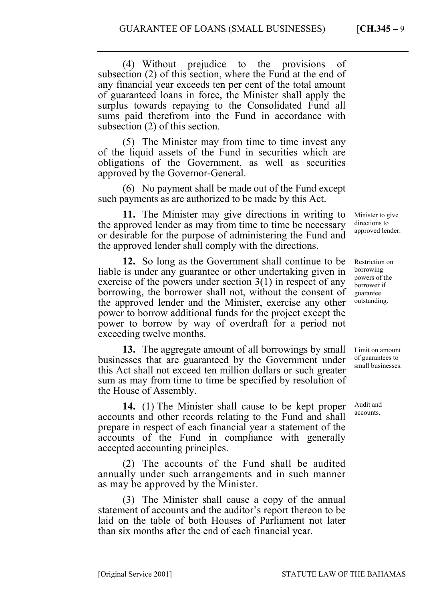(4) Without prejudice to the provisions of subsection (2) of this section, where the Fund at the end of any financial year exceeds ten per cent of the total amount of guaranteed loans in force, the Minister shall apply the surplus towards repaying to the Consolidated Fund all sums paid therefrom into the Fund in accordance with subsection (2) of this section.

(5) The Minister may from time to time invest any of the liquid assets of the Fund in securities which are obligations of the Government, as well as securities approved by the Governor-General.

(6) No payment shall be made out of the Fund except such payments as are authorized to be made by this Act.

**11.** The Minister may give directions in writing to the approved lender as may from time to time be necessary or desirable for the purpose of administering the Fund and the approved lender shall comply with the directions.

**12.** So long as the Government shall continue to be liable is under any guarantee or other undertaking given in exercise of the powers under section 3(1) in respect of any borrowing, the borrower shall not, without the consent of the approved lender and the Minister, exercise any other power to borrow additional funds for the project except the power to borrow by way of overdraft for a period not exceeding twelve months.

**13.** The aggregate amount of all borrowings by small businesses that are guaranteed by the Government under this Act shall not exceed ten million dollars or such greater sum as may from time to time be specified by resolution of the House of Assembly.

**14.** (1) The Minister shall cause to be kept proper accounts and other records relating to the Fund and shall prepare in respect of each financial year a statement of the accounts of the Fund in compliance with generally accepted accounting principles.

(2) The accounts of the Fund shall be audited annually under such arrangements and in such manner as may be approved by the Minister.

(3) The Minister shall cause a copy of the annual statement of accounts and the auditor's report thereon to be laid on the table of both Houses of Parliament not later than six months after the end of each financial year.

–––––––––––––––––––––––––––––––––––––––––––––––––––––––––––––––––––––––––––––––

Minister to give directions to approved lender.

Restriction on borrowing powers of the borrower if guarantee outstanding.

Limit on amount of guarantees to small businesses.

Audit and accounts.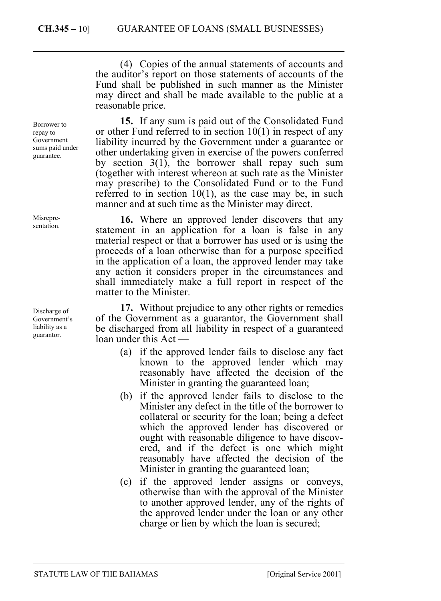(4) Copies of the annual statements of accounts and the auditor's report on those statements of accounts of the Fund shall be published in such manner as the Minister may direct and shall be made available to the public at a reasonable price.

**15.** If any sum is paid out of the Consolidated Fund or other Fund referred to in section 10(1) in respect of any liability incurred by the Government under a guarantee or other undertaking given in exercise of the powers conferred by section 3(1), the borrower shall repay such sum (together with interest whereon at such rate as the Minister may prescribe) to the Consolidated Fund or to the Fund referred to in section  $10(1)$ , as the case may be, in such manner and at such time as the Minister may direct.

**16.** Where an approved lender discovers that any statement in an application for a loan is false in any material respect or that a borrower has used or is using the proceeds of a loan otherwise than for a purpose specified in the application of a loan, the approved lender may take any action it considers proper in the circumstances and shall immediately make a full report in respect of the matter to the Minister.

**17.** Without prejudice to any other rights or remedies of the Government as a guarantor, the Government shall be discharged from all liability in respect of a guaranteed loan under this Act —

- (a) if the approved lender fails to disclose any fact known to the approved lender which may reasonably have affected the decision of the Minister in granting the guaranteed loan;
- (b) if the approved lender fails to disclose to the Minister any defect in the title of the borrower to collateral or security for the loan; being a defect which the approved lender has discovered or ought with reasonable diligence to have discovered, and if the defect is one which might reasonably have affected the decision of the Minister in granting the guaranteed loan;
- (c) if the approved lender assigns or conveys, otherwise than with the approval of the Minister to another approved lender, any of the rights of the approved lender under the loan or any other charge or lien by which the loan is secured;

Borrower to repay to Government sums paid under guarantee.

Misrepresentation.

Discharge of Government's liability as a guarantor.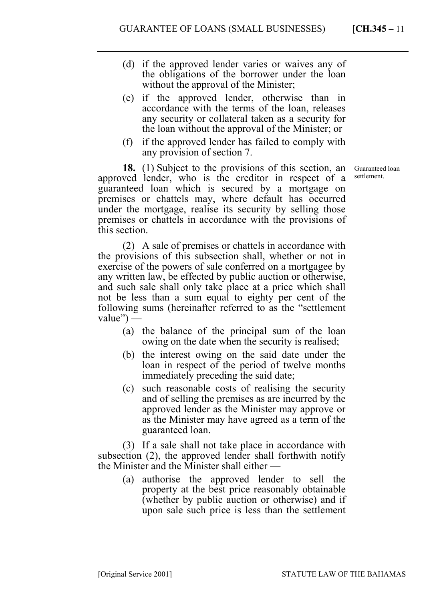- (d) if the approved lender varies or waives any of the obligations of the borrower under the loan without the approval of the Minister;
- (e) if the approved lender, otherwise than in accordance with the terms of the loan, releases any security or collateral taken as a security for the loan without the approval of the Minister; or
- (f) if the approved lender has failed to comply with any provision of section 7.

**18.** (1) Subject to the provisions of this section, an approved lender, who is the creditor in respect of a guaranteed loan which is secured by a mortgage on premises or chattels may, where default has occurred under the mortgage, realise its security by selling those premises or chattels in accordance with the provisions of this section.

(2) A sale of premises or chattels in accordance with the provisions of this subsection shall, whether or not in exercise of the powers of sale conferred on a mortgagee by any written law, be effected by public auction or otherwise, and such sale shall only take place at a price which shall not be less than a sum equal to eighty per cent of the following sums (hereinafter referred to as the "settlement value") —

- (a) the balance of the principal sum of the loan owing on the date when the security is realised;
- (b) the interest owing on the said date under the loan in respect of the period of twelve months immediately preceding the said date;
- (c) such reasonable costs of realising the security and of selling the premises as are incurred by the approved lender as the Minister may approve or as the Minister may have agreed as a term of the guaranteed loan.

(3) If a sale shall not take place in accordance with subsection (2), the approved lender shall forthwith notify the Minister and the Minister shall either —

(a) authorise the approved lender to sell the property at the best price reasonably obtainable (whether by public auction or otherwise) and if upon sale such price is less than the settlement

–––––––––––––––––––––––––––––––––––––––––––––––––––––––––––––––––––––––––––––––

Guaranteed loan settlement.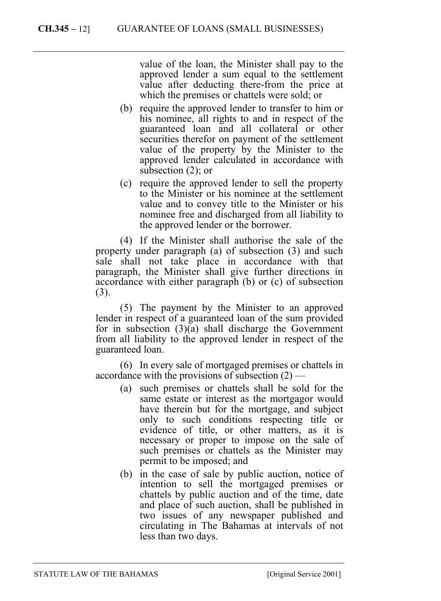value of the loan, the Minister shall pay to the approved lender a sum equal to the settlement value after deducting there-from the price at which the premises or chattels were sold; or

- (b) require the approved lender to transfer to him or his nominee, all rights to and in respect of the guaranteed loan and all collateral or other securities therefor on payment of the settlement value of the property by the Minister to the approved lender calculated in accordance with subsection (2); or
- (c) require the approved lender to sell the property to the Minister or his nominee at the settlement value and to convey title to the Minister or his nominee free and discharged from all liability to the approved lender or the borrower.

(4) If the Minister shall authorise the sale of the property under paragraph (a) of subsection (3) and such sale shall not take place in accordance with that paragraph, the Minister shall give further directions in accordance with either paragraph (b) or (c) of subsection (3).

(5) The payment by the Minister to an approved lender in respect of a guaranteed loan of the sum provided for in subsection (3)(a) shall discharge the Government from all liability to the approved lender in respect of the guaranteed loan.

(6) In every sale of mortgaged premises or chattels in accordance with the provisions of subsection (2) —

- (a) such premises or chattels shall be sold for the same estate or interest as the mortgagor would have therein but for the mortgage, and subject only to such conditions respecting title or evidence of title, or other matters, as it is necessary or proper to impose on the sale of such premises or chattels as the Minister may permit to be imposed; and
- (b) in the case of sale by public auction, notice of intention to sell the mortgaged premises or chattels by public auction and of the time, date and place of such auction, shall be published in two issues of any newspaper published and circulating in The Bahamas at intervals of not less than two days.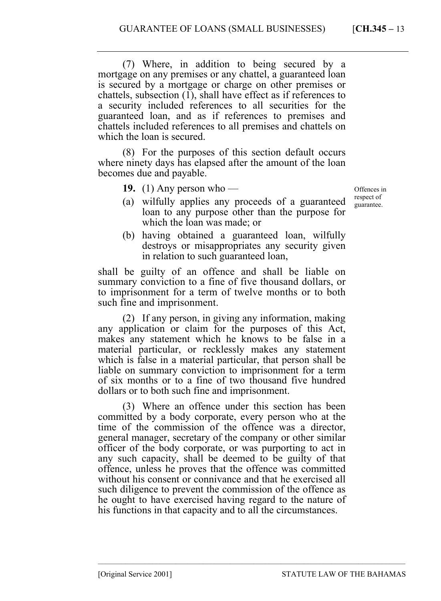(7) Where, in addition to being secured by a mortgage on any premises or any chattel, a guaranteed loan is secured by a mortgage or charge on other premises or chattels, subsection (1), shall have effect as if references to a security included references to all securities for the guaranteed loan, and as if references to premises and chattels included references to all premises and chattels on which the loan is secured.

(8) For the purposes of this section default occurs where ninety days has elapsed after the amount of the loan becomes due and payable.

**19.** (1) Any person who —

Offences in respect of guarantee.

- (a) wilfully applies any proceeds of a guaranteed loan to any purpose other than the purpose for which the loan was made; or
- (b) having obtained a guaranteed loan, wilfully destroys or misappropriates any security given in relation to such guaranteed loan,

shall be guilty of an offence and shall be liable on summary conviction to a fine of five thousand dollars, or to imprisonment for a term of twelve months or to both such fine and imprisonment.

(2) If any person, in giving any information, making any application or claim for the purposes of this Act, makes any statement which he knows to be false in a material particular, or recklessly makes any statement which is false in a material particular, that person shall be liable on summary conviction to imprisonment for a term of six months or to a fine of two thousand five hundred dollars or to both such fine and imprisonment.

(3) Where an offence under this section has been committed by a body corporate, every person who at the time of the commission of the offence was a director, general manager, secretary of the company or other similar officer of the body corporate, or was purporting to act in any such capacity, shall be deemed to be guilty of that offence, unless he proves that the offence was committed without his consent or connivance and that he exercised all such diligence to prevent the commission of the offence as he ought to have exercised having regard to the nature of his functions in that capacity and to all the circumstances.

–––––––––––––––––––––––––––––––––––––––––––––––––––––––––––––––––––––––––––––––